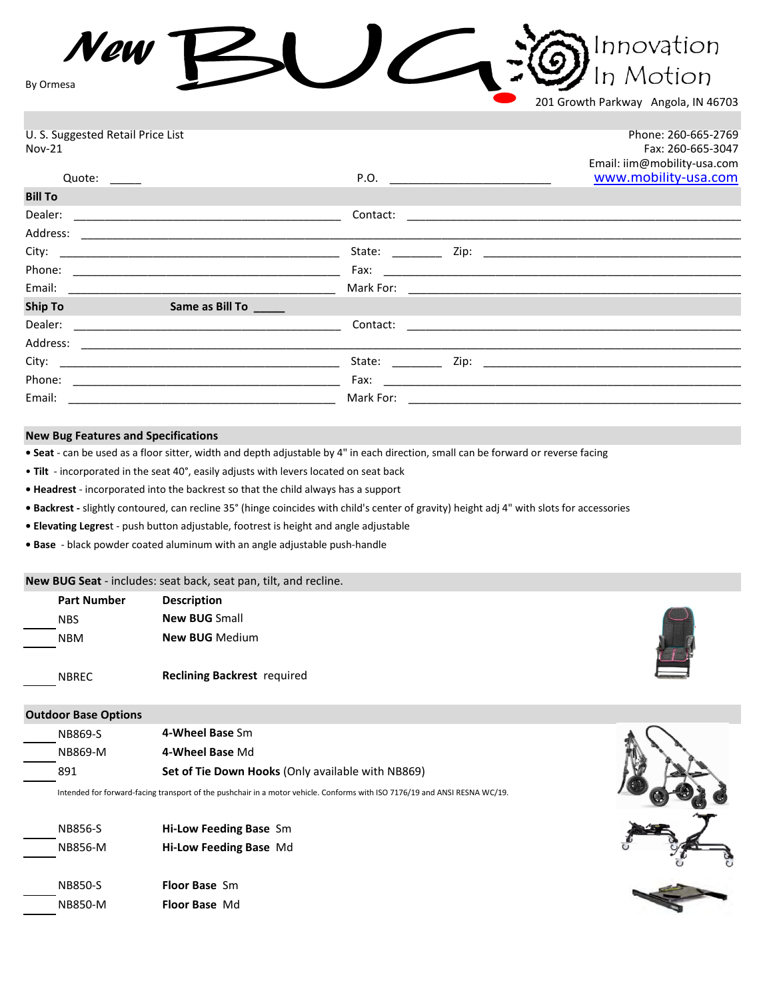*New* Innovation  $\overline{\phantom{a}}$ n Motion By Ormesa

201 Growth Parkway Angola, IN 46703

| U. S. Suggested Retail Price List<br>$Nov-21$        |           | Phone: 260-665-2769<br>Fax: 260-665-3047<br>Email: iim@mobility-usa.com                                          |
|------------------------------------------------------|-----------|------------------------------------------------------------------------------------------------------------------|
| Quote: $\_\_$                                        |           | www.mobility-usa.com                                                                                             |
| <b>Bill To</b>                                       |           |                                                                                                                  |
|                                                      | Contact:  |                                                                                                                  |
|                                                      |           |                                                                                                                  |
|                                                      |           |                                                                                                                  |
|                                                      |           |                                                                                                                  |
|                                                      |           |                                                                                                                  |
| <b>Ship To</b><br>Same as Bill To <b>Same Assets</b> |           | and the control of the control of the control of the control of the control of the control of the control of the |
|                                                      | Contact:  |                                                                                                                  |
|                                                      |           |                                                                                                                  |
|                                                      |           |                                                                                                                  |
| Phone:                                               |           |                                                                                                                  |
| Email:                                               | Mark For: |                                                                                                                  |

## **New Bug Features and Specifications**

**• Seat** - can be used as a floor sitter, width and depth adjustable by 4" in each direction, small can be forward or reverse facing

• **Tilt** - incorporated in the seat 40°, easily adjusts with levers located on seat back

**• Headrest** - incorporated into the backrest so that the child always has a support

**• Backrest -** slightly contoured, can recline 35° (hinge coincides with child's center of gravity) height adj 4" with slots for accessories

**• Elevating Legres**t - push button adjustable, footrest is height and angle adjustable

**• Base** - black powder coated aluminum with an angle adjustable push-handle

## **New BUG Seat** - includes: seat back, seat pan, tilt, and recline.

| <b>Part Number</b> | <b>Description</b>                 |
|--------------------|------------------------------------|
| <b>NBS</b>         | <b>New BUG Small</b>               |
| NBM                | <b>New BUG Medium</b>              |
|                    |                                    |
| <b>NBREC</b>       | <b>Reclining Backrest</b> required |



#### **Outdoor Base Options**

| NB869-S | 4-Wheel Base Sm                                          |  |
|---------|----------------------------------------------------------|--|
| NB869-M | 4-Wheel Base Md                                          |  |
| 891     | <b>Set of Tie Down Hooks (Only available with NB869)</b> |  |

Intended for forward-facing transport of the pushchair in a motor vehicle. Conforms with ISO 7176/19 and ANSI RESNA WC/19.

| NB856-S<br>NB856-M | <b>Hi-Low Feeding Base Sm</b><br>Hi-Low Feeding Base Md |
|--------------------|---------------------------------------------------------|
| NB850-S            | <b>Floor Base</b> Sm                                    |
| NB850-M            | <b>Floor Base Md</b>                                    |

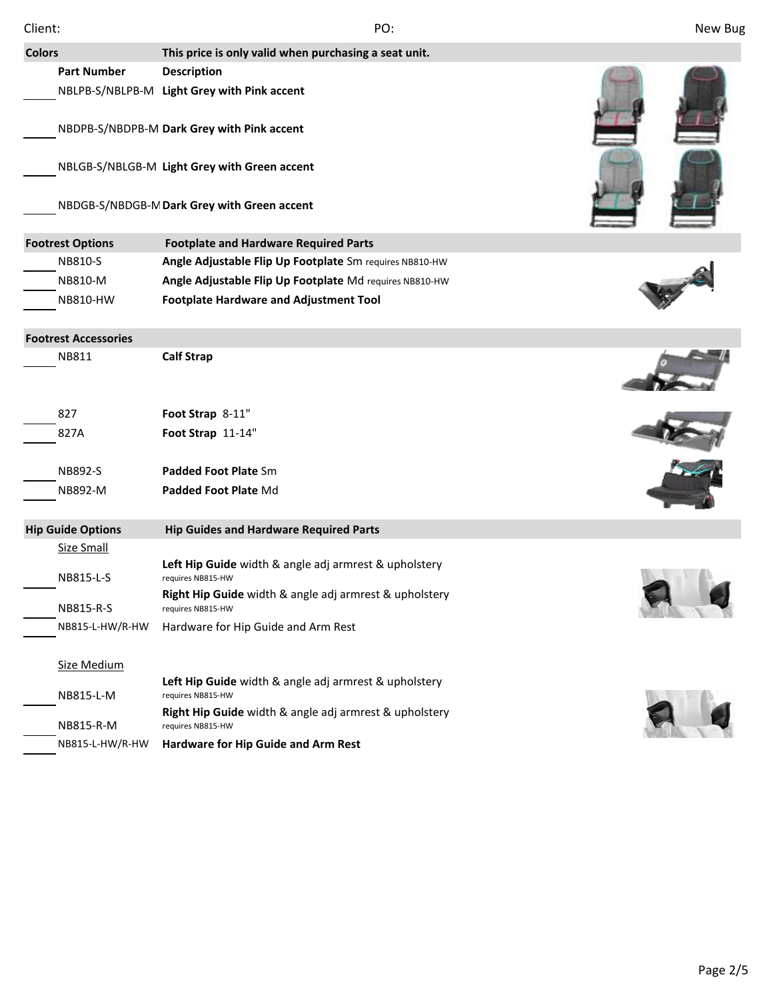| <b>Colors</b>               | This price is only valid when purchasing a seat unit.                       |  |
|-----------------------------|-----------------------------------------------------------------------------|--|
| <b>Part Number</b>          | <b>Description</b>                                                          |  |
|                             | NBLPB-S/NBLPB-M Light Grey with Pink accent                                 |  |
|                             |                                                                             |  |
|                             | NBDPB-S/NBDPB-M Dark Grey with Pink accent                                  |  |
|                             |                                                                             |  |
|                             | NBLGB-S/NBLGB-M Light Grey with Green accent                                |  |
|                             | NBDGB-S/NBDGB-M Dark Grey with Green accent                                 |  |
|                             |                                                                             |  |
| <b>Footrest Options</b>     | <b>Footplate and Hardware Required Parts</b>                                |  |
| NB810-S                     | Angle Adjustable Flip Up Footplate Sm requires NB810-HW                     |  |
| NB810-M                     | Angle Adjustable Flip Up Footplate Md requires NB810-HW                     |  |
| NB810-HW                    | <b>Footplate Hardware and Adjustment Tool</b>                               |  |
|                             |                                                                             |  |
| <b>Footrest Accessories</b> |                                                                             |  |
| NB811                       | <b>Calf Strap</b>                                                           |  |
|                             |                                                                             |  |
| 827                         | Foot Strap 8-11"                                                            |  |
| 827A                        | Foot Strap 11-14"                                                           |  |
|                             |                                                                             |  |
| NB892-S                     | Padded Foot Plate Sm                                                        |  |
| NB892-M                     | Padded Foot Plate Md                                                        |  |
| <b>Hip Guide Options</b>    | <b>Hip Guides and Hardware Required Parts</b>                               |  |
| <b>Size Small</b>           |                                                                             |  |
|                             | Left Hip Guide width & angle adj armrest & upholstery                       |  |
| NB815-L-S                   | requires NB815-HW                                                           |  |
| NB815-R-S                   | Right Hip Guide width & angle adj armrest & upholstery<br>requires NB815-HW |  |
| NB815-L-HW/R-HW             | Hardware for Hip Guide and Arm Rest                                         |  |
|                             |                                                                             |  |
| Size Medium                 |                                                                             |  |
| NB815-L-M                   | Left Hip Guide width & angle adj armrest & upholstery<br>requires NB815-HW  |  |
|                             | Right Hip Guide width & angle adj armrest & upholstery                      |  |
| NB815-R-M                   | requires NB815-HW                                                           |  |
| NB815-L-HW/R-HW             | Hardware for Hip Guide and Arm Rest                                         |  |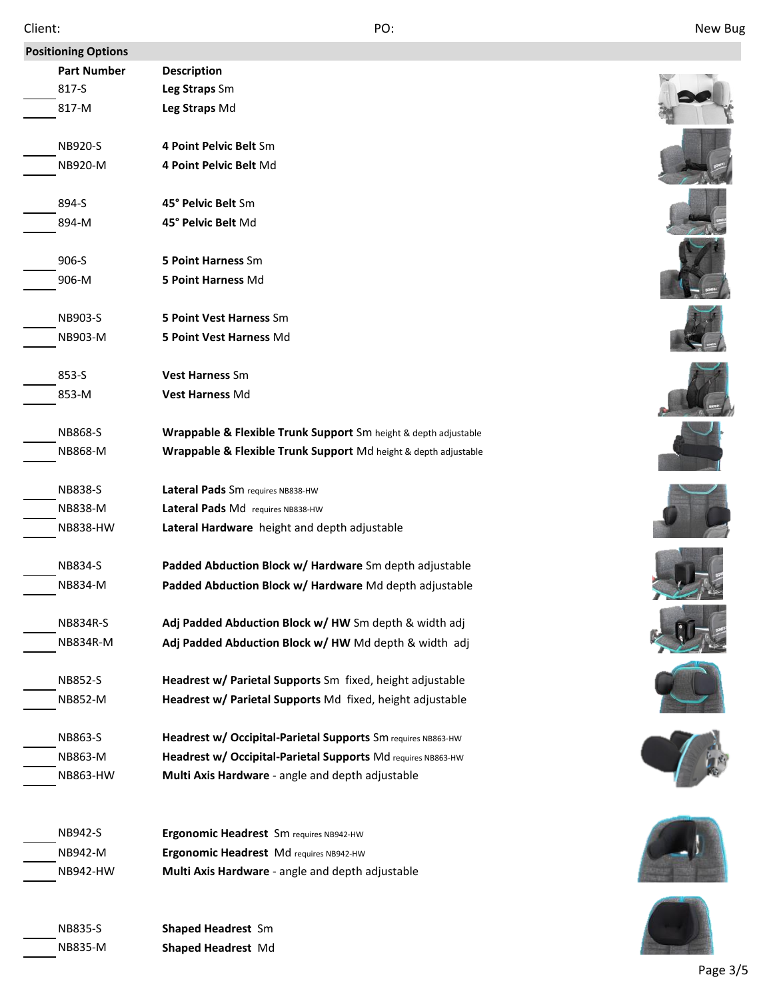| <b>Positioning Options</b> |                                                                 |  |
|----------------------------|-----------------------------------------------------------------|--|
| <b>Part Number</b>         | <b>Description</b>                                              |  |
| 817-S                      | Leg Straps Sm                                                   |  |
| 817-M                      | Leg Straps Md                                                   |  |
| NB920-S                    | 4 Point Pelvic Belt Sm                                          |  |
| NB920-M                    | 4 Point Pelvic Belt Md                                          |  |
| 894-S                      | 45° Pelvic Belt Sm                                              |  |
| 894-M                      | 45° Pelvic Belt Md                                              |  |
| 906-S                      | <b>5 Point Harness Sm</b>                                       |  |
| 906-M                      | 5 Point Harness Md                                              |  |
| NB903-S                    | 5 Point Vest Harness Sm                                         |  |
| NB903-M                    | 5 Point Vest Harness Md                                         |  |
| 853-S                      | Vest Harness Sm                                                 |  |
| 853-M                      | Vest Harness Md                                                 |  |
| NB868-S                    | Wrappable & Flexible Trunk Support Sm height & depth adjustable |  |
| <b>NB868-M</b>             | Wrappable & Flexible Trunk Support Md height & depth adjustable |  |
| NB838-S                    | Lateral Pads Sm requires NB838-HW                               |  |
| <b>NB838-M</b>             | Lateral Pads Md requires NB838-HW                               |  |
| <b>NB838-HW</b>            | Lateral Hardware height and depth adjustable                    |  |
| NB834-S                    | Padded Abduction Block w/ Hardware Sm depth adjustable          |  |
| NB834-M                    | Padded Abduction Block w/ Hardware Md depth adjustable          |  |
| <b>NB834R-S</b>            | Adj Padded Abduction Block w/ HW Sm depth & width adj           |  |
| NB834R-M                   | Adj Padded Abduction Block w/ HW Md depth & width adj           |  |
| <b>NB852-S</b>             | Headrest w/ Parietal Supports Sm fixed, height adjustable       |  |
| NB852-M                    | Headrest w/ Parietal Supports Md fixed, height adjustable       |  |
| NB863-S                    | Headrest w/ Occipital-Parietal Supports Sm requires NB863-HW    |  |
| NB863-M                    | Headrest w/ Occipital-Parietal Supports Md requires NB863-HW    |  |
| NB863-HW                   | Multi Axis Hardware - angle and depth adjustable                |  |
| NB942-S                    | Ergonomic Headrest Sm requires NB942-HW                         |  |
| NB942-M                    | Ergonomic Headrest Md requires NB942-HW                         |  |
| NB942-HW                   | Multi Axis Hardware - angle and depth adjustable                |  |
|                            |                                                                 |  |
| <b>NB835-S</b>             | <b>Shaped Headrest Sm</b>                                       |  |
| NB835-M                    | Shaped Headrest Md                                              |  |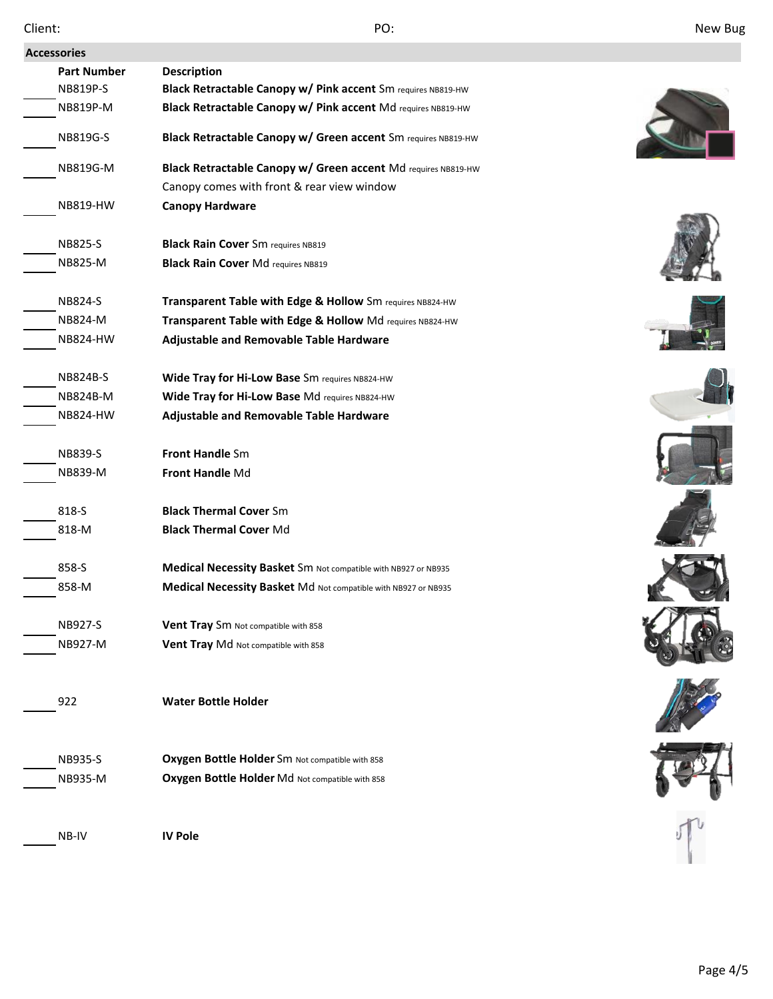| New Bug |  |
|---------|--|
|---------|--|

| Client:            | PO:                                                            | New Bug |
|--------------------|----------------------------------------------------------------|---------|
| <b>Accessories</b> |                                                                |         |
| <b>Part Number</b> | <b>Description</b>                                             |         |
| NB819P-S           | Black Retractable Canopy w/ Pink accent Sm requires NB819-HW   |         |
| NB819P-M           | Black Retractable Canopy w/ Pink accent Md requires NB819-HW   |         |
| NB819G-S           | Black Retractable Canopy w/ Green accent Sm requires NB819-HW  |         |
| <b>NB819G-M</b>    | Black Retractable Canopy w/ Green accent Md requires NB819-HW  |         |
|                    | Canopy comes with front & rear view window                     |         |
| <b>NB819-HW</b>    | <b>Canopy Hardware</b>                                         |         |
| <b>NB825-S</b>     | <b>Black Rain Cover</b> Sm requires NB819                      |         |
| NB825-M            | <b>Black Rain Cover Md requires NB819</b>                      |         |
|                    |                                                                |         |
| <b>NB824-S</b>     | Transparent Table with Edge & Hollow Sm requires NB824-HW      |         |
| <b>NB824-M</b>     | Transparent Table with Edge & Hollow Md requires NB824-HW      |         |
| <b>NB824-HW</b>    | Adjustable and Removable Table Hardware                        |         |
| <b>NB824B-S</b>    | Wide Tray for Hi-Low Base Sm requires NB824-HW                 |         |
| NB824B-M           | Wide Tray for Hi-Low Base Md requires NB824-HW                 |         |
| <b>NB824-HW</b>    | Adjustable and Removable Table Hardware                        |         |
| <b>NB839-S</b>     | <b>Front Handle Sm</b>                                         |         |
| NB839-M            | Front Handle Md                                                |         |
|                    |                                                                |         |
| 818-S              | <b>Black Thermal Cover Sm</b>                                  |         |
| 818-M              | <b>Black Thermal Cover Md</b>                                  |         |
| 858-S              | Medical Necessity Basket Sm Not compatible with NB927 or NB935 |         |
| 858-M              | Medical Necessity Basket Md Not compatible with NB927 or NB935 |         |
|                    |                                                                |         |
| NB927-S            | Vent Tray Sm Not compatible with 858                           |         |
| NB927-M            | Vent Tray Md Not compatible with 858                           |         |
| 922                | <b>Water Bottle Holder</b>                                     |         |
|                    |                                                                |         |
| NB935-S            | Oxygen Bottle Holder Sm Not compatible with 858                |         |
| NB935-M            | Oxygen Bottle Holder Md Not compatible with 858                |         |
|                    |                                                                |         |
| NB-IV              | <b>IV Pole</b>                                                 |         |
|                    |                                                                |         |